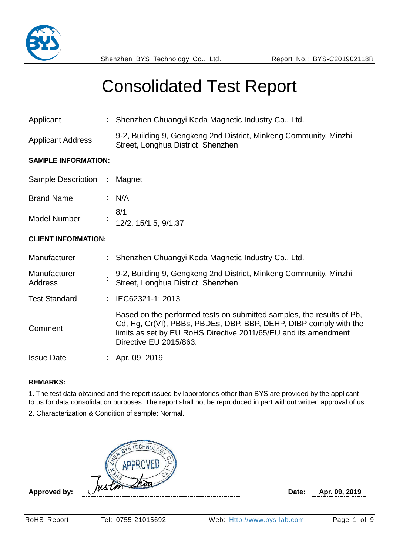

| Applicant                      | : Shenzhen Chuangyi Keda Magnetic Industry Co., Ltd.                                                                                                                                                                                    |
|--------------------------------|-----------------------------------------------------------------------------------------------------------------------------------------------------------------------------------------------------------------------------------------|
| <b>Applicant Address</b>       | 9-2, Building 9, Gengkeng 2nd District, Minkeng Community, Minzhi<br>Street, Longhua District, Shenzhen                                                                                                                                 |
| <b>SAMPLE INFORMATION:</b>     |                                                                                                                                                                                                                                         |
| Sample Description : Magnet    |                                                                                                                                                                                                                                         |
| <b>Brand Name</b>              | : $N/A$                                                                                                                                                                                                                                 |
| <b>Model Number</b>            | 8/1<br>12/2, 15/1.5, 9/1.37                                                                                                                                                                                                             |
| <b>CLIENT INFORMATION:</b>     |                                                                                                                                                                                                                                         |
| Manufacturer                   | : Shenzhen Chuangyi Keda Magnetic Industry Co., Ltd.                                                                                                                                                                                    |
| Manufacturer<br><b>Address</b> | 9-2, Building 9, Gengkeng 2nd District, Minkeng Community, Minzhi<br>Street, Longhua District, Shenzhen                                                                                                                                 |
| <b>Test Standard</b>           | $\therefore$ IEC62321-1: 2013                                                                                                                                                                                                           |
| Comment                        | Based on the performed tests on submitted samples, the results of Pb,<br>Cd, Hg, Cr(VI), PBBs, PBDEs, DBP, BBP, DEHP, DIBP comply with the<br>limits as set by EU RoHS Directive 2011/65/EU and its amendment<br>Directive EU 2015/863. |
| <b>Issue Date</b>              | Apr. 09, 2019                                                                                                                                                                                                                           |

#### **REMARKS:**

1. The test data obtained and the report issued by laboratories other than BYS are provided by the applicant to us for data consolidation purposes. The report shall not be reproduced in part without written approval of us.

2. Characterization & Condition of sample: Normal.

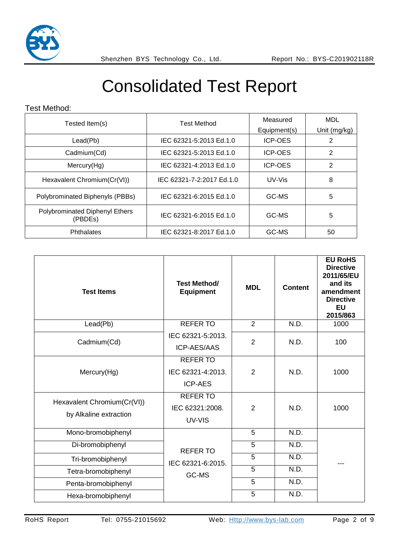

#### Test Method:

| Tested Item(s)                            | <b>Test Method</b>        | Measured       | <b>MDL</b>   |
|-------------------------------------------|---------------------------|----------------|--------------|
|                                           |                           | Equipment(s)   | Unit (mg/kg) |
| Lead(Pb)                                  | IEC 62321-5:2013 Ed.1.0   | <b>ICP-OES</b> | 2            |
| Cadmium(Cd)                               | IEC 62321-5:2013 Ed.1.0   | <b>ICP-OES</b> | 2            |
| Mercury(Hg)                               | IEC 62321-4:2013 Ed.1.0   | <b>ICP-OES</b> | 2            |
| Hexavalent Chromium(Cr(VI))               | IEC 62321-7-2:2017 Ed.1.0 | UV-Vis         | 8            |
| Polybrominated Biphenyls (PBBs)           | IEC 62321-6:2015 Ed.1.0   | GC-MS          | 5            |
| Polybrominated Diphenyl Ethers<br>(PBDEs) | IEC 62321-6:2015 Ed.1.0   | GC-MS          | 5            |
| Phthalates                                | IEC 62321-8:2017 Ed.1.0   | GC-MS          | 50           |

| <b>Test Items</b>                                     | <b>Test Method/</b><br><b>Equipment</b>                | <b>MDL</b>     | <b>Content</b> | <b>EU RoHS</b><br><b>Directive</b><br>2011/65/EU<br>and its<br>amendment<br><b>Directive</b><br><b>EU</b><br>2015/863 |
|-------------------------------------------------------|--------------------------------------------------------|----------------|----------------|-----------------------------------------------------------------------------------------------------------------------|
| Lead(Pb)                                              | <b>REFERTO</b>                                         | $\overline{2}$ | N.D.           | 1000                                                                                                                  |
| Cadmium(Cd)                                           | IEC 62321-5:2013.<br><b>ICP-AES/AAS</b>                | $\overline{2}$ | N.D.           | 100                                                                                                                   |
| Mercury(Hg)                                           | <b>REFER TO</b><br>IEC 62321-4:2013.<br><b>ICP-AES</b> | $\overline{2}$ | N.D.           | 1000                                                                                                                  |
| Hexavalent Chromium(Cr(VI))<br>by Alkaline extraction | <b>REFERTO</b><br>IEC 62321:2008.<br>UV-VIS            | $\overline{2}$ | N.D.           | 1000                                                                                                                  |
| Mono-bromobiphenyl                                    |                                                        | 5              | N.D.           |                                                                                                                       |
| Di-bromobiphenyl                                      | <b>REFERTO</b>                                         | 5              | N.D.           |                                                                                                                       |
| Tri-bromobiphenyl                                     | IEC 62321-6:2015.                                      | 5              | N.D.           |                                                                                                                       |
| Tetra-bromobiphenyl                                   | GC-MS                                                  | 5              | N.D.           |                                                                                                                       |
| Penta-bromobiphenyl                                   |                                                        | 5              | N.D.           |                                                                                                                       |
| Hexa-bromobiphenyl                                    |                                                        | 5              | N.D.           |                                                                                                                       |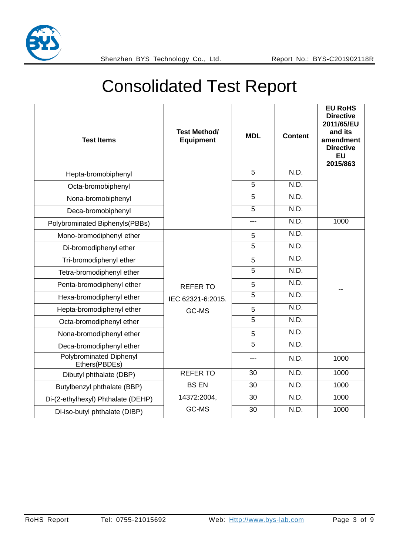

| <b>Test Items</b>                               | <b>Test Method/</b><br><b>Equipment</b> | <b>MDL</b>     | <b>Content</b> | <b>EU RoHS</b><br><b>Directive</b><br>2011/65/EU<br>and its<br>amendment<br><b>Directive</b><br><b>EU</b><br>2015/863 |
|-------------------------------------------------|-----------------------------------------|----------------|----------------|-----------------------------------------------------------------------------------------------------------------------|
| Hepta-bromobiphenyl                             |                                         | 5              | N.D.           |                                                                                                                       |
| Octa-bromobiphenyl                              |                                         | $\overline{5}$ | N.D.           |                                                                                                                       |
| Nona-bromobiphenyl                              |                                         | 5              | N.D.           |                                                                                                                       |
| Deca-bromobiphenyl                              |                                         | $\overline{5}$ | N.D.           |                                                                                                                       |
| Polybrominated Biphenyls(PBBs)                  |                                         | ---            | N.D.           | 1000                                                                                                                  |
| Mono-bromodiphenyl ether                        |                                         | 5              | N.D.           |                                                                                                                       |
| Di-bromodiphenyl ether                          |                                         | $\overline{5}$ | N.D.           |                                                                                                                       |
| Tri-bromodiphenyl ether                         |                                         | 5              | N.D.           |                                                                                                                       |
| Tetra-bromodiphenyl ether                       |                                         | $\overline{5}$ | N.D.           |                                                                                                                       |
| Penta-bromodiphenyl ether                       | <b>REFERTO</b>                          | 5              | N.D.           |                                                                                                                       |
| Hexa-bromodiphenyl ether                        | IEC 62321-6:2015.                       | $\overline{5}$ | N.D.           |                                                                                                                       |
| Hepta-bromodiphenyl ether                       | GC-MS                                   | 5              | N.D.           |                                                                                                                       |
| Octa-bromodiphenyl ether                        |                                         | $\overline{5}$ | N.D.           |                                                                                                                       |
| Nona-bromodiphenyl ether                        |                                         | 5              | N.D.           |                                                                                                                       |
| Deca-bromodiphenyl ether                        |                                         | 5              | N.D.           |                                                                                                                       |
| <b>Polybrominated Diphenyl</b><br>Ethers(PBDEs) |                                         | $---$          | N.D.           | 1000                                                                                                                  |
| Dibutyl phthalate (DBP)                         | <b>REFER TO</b>                         | 30             | N.D.           | 1000                                                                                                                  |
| Butylbenzyl phthalate (BBP)                     | <b>BS EN</b>                            | 30             | N.D.           | 1000                                                                                                                  |
| Di-(2-ethylhexyl) Phthalate (DEHP)              | 14372:2004,                             | 30             | N.D.           | 1000                                                                                                                  |
| Di-iso-butyl phthalate (DIBP)                   | GC-MS                                   | 30             | N.D.           | 1000                                                                                                                  |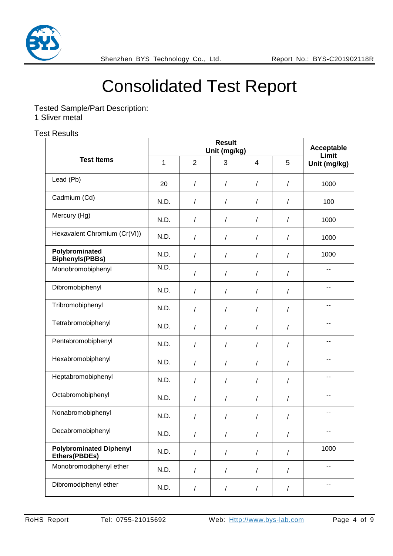

Tested Sample/Part Description:

1 Sliver metal

#### Test Results

|                                                 |              | Acceptable<br>Limit |            |                      |                |                          |
|-------------------------------------------------|--------------|---------------------|------------|----------------------|----------------|--------------------------|
| <b>Test Items</b>                               | $\mathbf{1}$ | $\overline{2}$      | 3          | $\overline{4}$       | 5              | Unit (mg/kg)             |
| Lead (Pb)                                       | 20           | /                   | $\sqrt{2}$ | $\prime$             | $\sqrt{2}$     | 1000                     |
| Cadmium (Cd)                                    | N.D.         | /                   | $\prime$   | $\prime$             | $\sqrt{2}$     | 100                      |
| Mercury (Hg)                                    | N.D.         | $\overline{1}$      | $\prime$   | $\sqrt{2}$           | $\sqrt{2}$     | 1000                     |
| Hexavalent Chromium (Cr(VI))                    | N.D.         | /                   | $\sqrt{2}$ | $\prime$             | $\sqrt{ }$     | 1000                     |
| Polybrominated<br><b>Biphenyls(PBBs)</b>        | N.D.         | $\prime$            | $\prime$   | $\prime$             | $\prime$       | 1000                     |
| Monobromobiphenyl                               | N.D.         | /                   | $\sqrt{2}$ | $\prime$             | $\sqrt{2}$     | --                       |
| Dibromobiphenyl                                 | N.D.         | $\prime$            | $\prime$   | $\sqrt{2}$           | $\prime$       | --                       |
| Tribromobiphenyl                                | N.D.         | /                   | $\prime$   | $\sqrt{2}$           | $\sqrt{ }$     | --                       |
| Tetrabromobiphenyl                              | N.D.         | $\prime$            | T          | $\prime$             | $\prime$       | --                       |
| Pentabromobiphenyl                              | N.D.         | $\overline{1}$      | $\sqrt{2}$ | $\sqrt{\phantom{a}}$ | $\overline{1}$ |                          |
| Hexabromobiphenyl                               | N.D.         | /                   | $\sqrt{2}$ | $\sqrt{2}$           | $\sqrt{ }$     | $-$                      |
| Heptabromobiphenyl                              | N.D.         | $\overline{1}$      | $\prime$   | $\prime$             | $\sqrt{ }$     | --                       |
| Octabromobiphenyl                               | N.D.         | /                   | $\prime$   | $\prime$             | $\prime$       | --                       |
| Nonabromobiphenyl                               | N.D.         | /                   | $\sqrt{2}$ | $\sqrt{2}$           | $\sqrt{ }$     |                          |
| Decabromobiphenyl                               | N.D.         | T                   | T          | T                    | T              | $\overline{\phantom{a}}$ |
| <b>Polybrominated Diphenyl</b><br>Ethers(PBDEs) | N.D.         | $\sqrt{2}$          | $\sqrt{2}$ | $\overline{1}$       | $\sqrt{2}$     | 1000                     |
| Monobromodiphenyl ether                         | N.D.         | $\overline{1}$      | $\sqrt{2}$ | $\overline{1}$       | $\sqrt{2}$     | --                       |
| Dibromodiphenyl ether                           | N.D.         | $\sqrt{2}$          | $\sqrt{2}$ | $\sqrt{2}$           | $\sqrt{2}$     | --                       |
|                                                 |              |                     |            |                      |                |                          |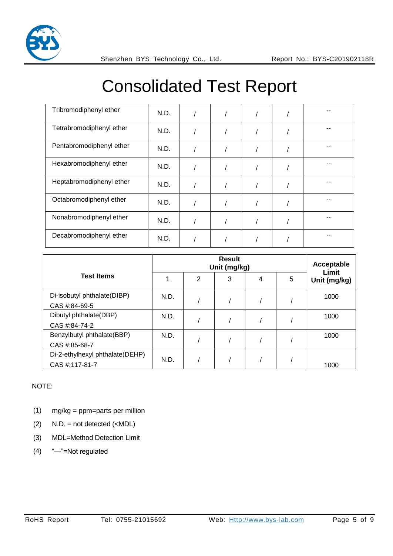

| Tribromodiphenyl ether   | N.D. |  |  |  |
|--------------------------|------|--|--|--|
| Tetrabromodiphenyl ether | N.D. |  |  |  |
| Pentabromodiphenyl ether | N.D. |  |  |  |
| Hexabromodiphenyl ether  | N.D. |  |  |  |
| Heptabromodiphenyl ether | N.D. |  |  |  |
| Octabromodiphenyl ether  | N.D. |  |  |  |
| Nonabromodiphenyl ether  | N.D. |  |  |  |
| Decabromodiphenyl ether  | N.D. |  |  |  |

|                                 |      | Acceptable<br>Limit |   |   |   |              |
|---------------------------------|------|---------------------|---|---|---|--------------|
| <b>Test Items</b>               |      | 2                   | 3 | 4 | 5 | Unit (mg/kg) |
| Di-isobutyl phthalate(DIBP)     | N.D. |                     |   |   |   | 1000         |
| CAS #:84-69-5                   |      |                     |   |   |   |              |
| Dibutyl phthalate(DBP)          | N.D. |                     |   |   |   | 1000         |
| CAS #:84-74-2                   |      |                     |   |   |   |              |
| Benzylbutyl phthalate(BBP)      | N.D. |                     |   |   |   | 1000         |
| CAS #:85-68-7                   |      |                     |   |   |   |              |
| Di-2-ethylhexyl phthalate(DEHP) | N.D. |                     |   |   |   |              |
| CAS #:117-81-7                  |      |                     |   |   |   | 1000         |

#### NOTE:

- (1) mg/kg = ppm=parts per million
- $(2)$  N.D. = not detected  $(\leq MDL)$
- (3) MDL=Method Detection Limit
- (4) "—"=Not regulated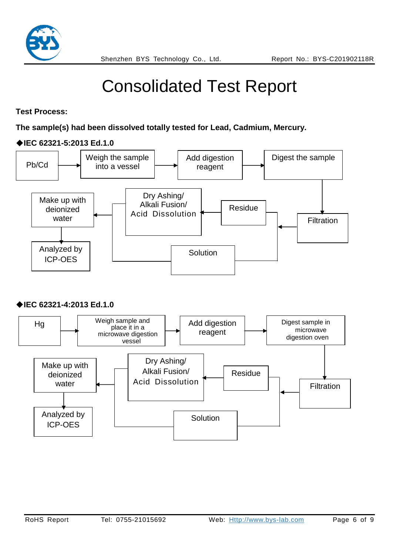

**Test Process:** 

**The sample(s) had been dissolved totally tested for Lead, Cadmium, Mercury.** 

#### ◆**IEC 62321-5:2013 Ed.1.0**



#### ◆**IEC 62321-4:2013 Ed.1.0**

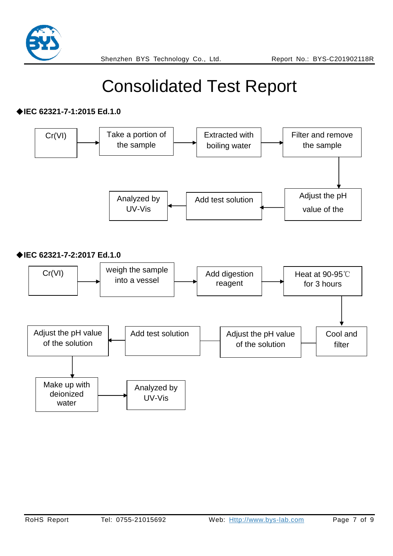

#### ◆**IEC 62321-7-1:2015 Ed.1.0**

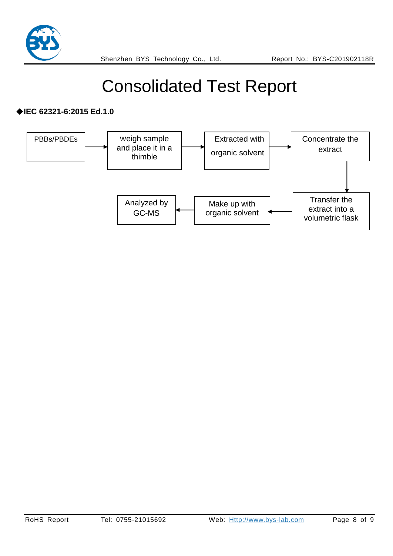

#### ◆**IEC 62321-6:2015 Ed.1.0**